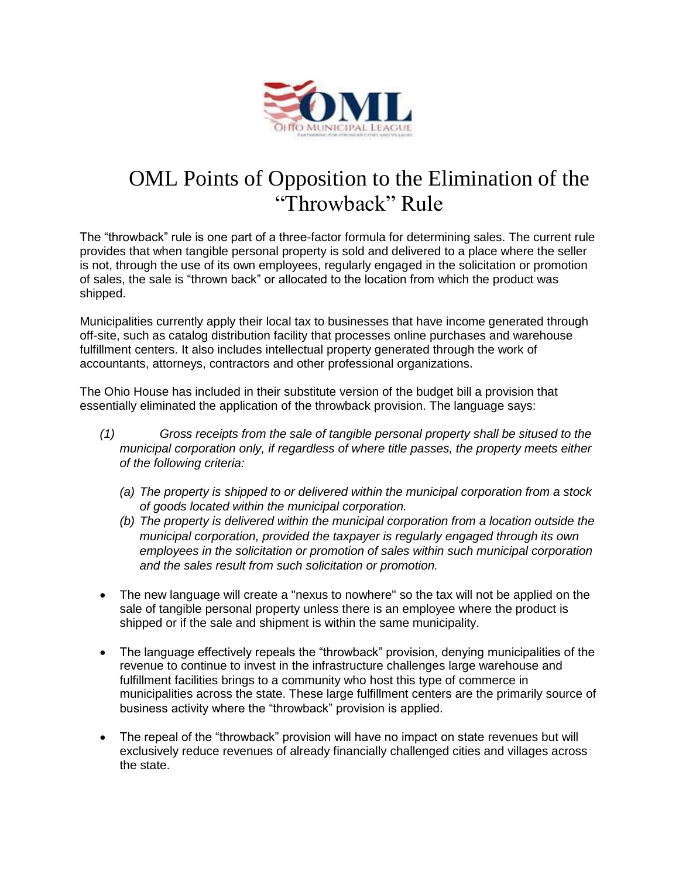

## OML Points of Opposition to the Elimination of the "Throwback" Rule

The "throwback" rule is one part of a three-factor formula for determining sales. The current rule provides that when tangible personal property is sold and delivered to a place where the seller is not, through the use of its own employees, regularly engaged in the solicitation or promotion of sales, the sale is "thrown back" or allocated to the location from which the product was shipped.

Municipalities currently apply their local tax to businesses that have income generated through off-site, such as catalog distribution facility that processes online purchases and warehouse fulfillment centers. It also includes intellectual property generated through the work of accountants, attorneys, contractors and other professional organizations.

The Ohio House has included in their substitute version of the budget bill a provision that essentially eliminated the application of the throwback provision. The language says:

- *(1) Gross receipts from the sale of tangible personal property shall be sitused to the municipal corporation only, if regardless of where title passes, the property meets either of the following criteria:*
	- *(a) The property is shipped to or delivered within the municipal corporation from a stock of goods located within the municipal corporation.*
	- *(b) The property is delivered within the municipal corporation from a location outside the municipal corporation, provided the taxpayer is regularly engaged through its own employees in the solicitation or promotion of sales within such municipal corporation and the sales result from such solicitation or promotion.*
- The new language will create a "nexus to nowhere" so the tax will not be applied on the sale of tangible personal property unless there is an employee where the product is shipped or if the sale and shipment is within the same municipality.
- The language effectively repeals the "throwback" provision, denying municipalities of the revenue to continue to invest in the infrastructure challenges large warehouse and fulfillment facilities brings to a community who host this type of commerce in municipalities across the state. These large fulfillment centers are the primarily source of business activity where the "throwback" provision is applied.
- The repeal of the "throwback" provision will have no impact on state revenues but will exclusively reduce revenues of already financially challenged cities and villages across the state.